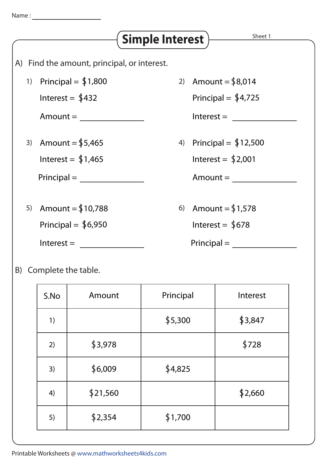## Sheet 1 A) Find the amount, principal, or interest. 1) Principal =  $$1,800$ Amount = Interest =  $$432$ 2) Amount = \$8,014  $Interest = \_$ Principal =  $$4,725$ 5) Amount = S10,788 Interest = Principal =  $$6,950$  $Principal = \_$ 3) Amount =  $$5,465$ Interest =  $$1,465$  $Principal = \_$ 6) Amount =  $$1,578$ Interest =  $$678$ 4) Principal = S12,500  $Amount = \_$ Interest =  $$2,001$ **Simple Interest**

B) Complete the table.

| S.No | Amount   | Principal | Interest |
|------|----------|-----------|----------|
| 1)   |          | \$5,300   | \$3,847  |
| 2)   | \$3,978  |           | \$728    |
| 3)   | \$6,009  | \$4,825   |          |
| 4)   | \$21,560 |           | \$2,660  |
| 5)   | \$2,354  | \$1,700   |          |

Printable Worksheets @ www.mathworksheets4kids.com